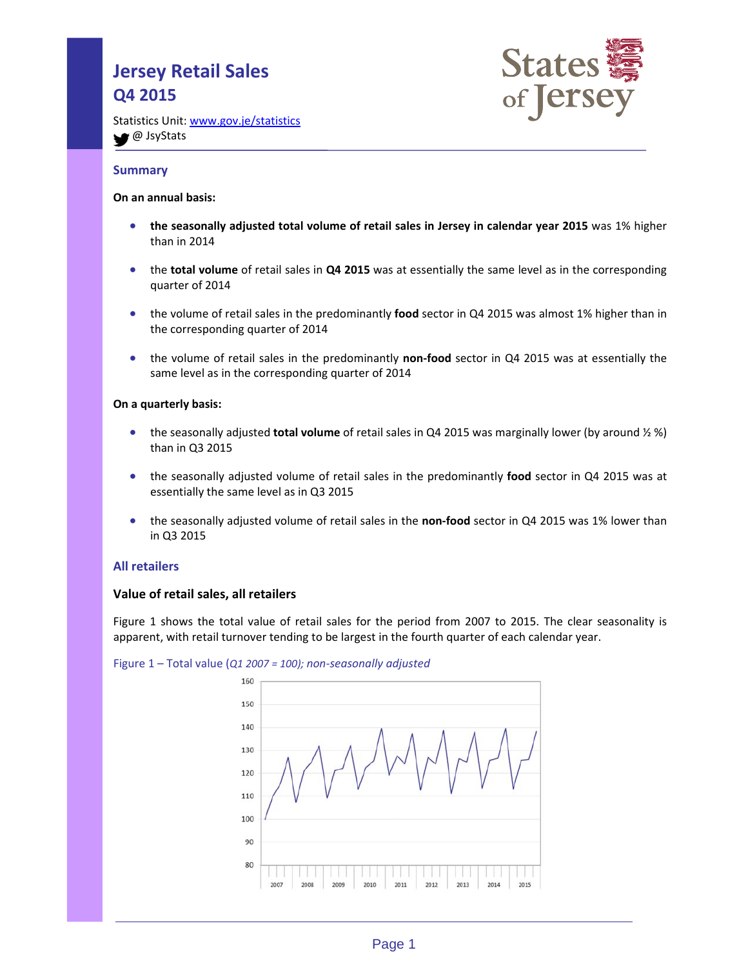# **Jersey Retail Sales Q4 2015**



Statistics Unit: www.gov.je/statistics **●** JsyStats

# **Summary**

## **On an annual basis:**

- **the seasonally adjusted total volume of retail sales in Jersey in calendar year 2015** was 1% higher than in 2014
- the **total volume** of retail sales in **Q4 2015** was at essentially the same level as in the corresponding quarter of 2014
- the volume of retail sales in the predominantly **food** sector in Q4 2015 was almost 1% higher than in the corresponding quarter of 2014
- the volume of retail sales in the predominantly **non-food** sector in Q4 2015 was at essentially the same level as in the corresponding quarter of 2014

## **On a quarterly basis:**

- the seasonally adjusted **total volume** of retail sales in Q4 2015 was marginally lower (by around ½ %) than in Q3 2015
- the seasonally adjusted volume of retail sales in the predominantly **food** sector in Q4 2015 was at essentially the same level as in Q3 2015
- the seasonally adjusted volume of retail sales in the **non-food** sector in Q4 2015 was 1% lower than in Q3 2015

## **All retailers**

## **Value of retail sales, all retailers**

Figure 1 shows the total value of retail sales for the period from 2007 to 2015. The clear seasonality is apparent, with retail turnover tending to be largest in the fourth quarter of each calendar year.



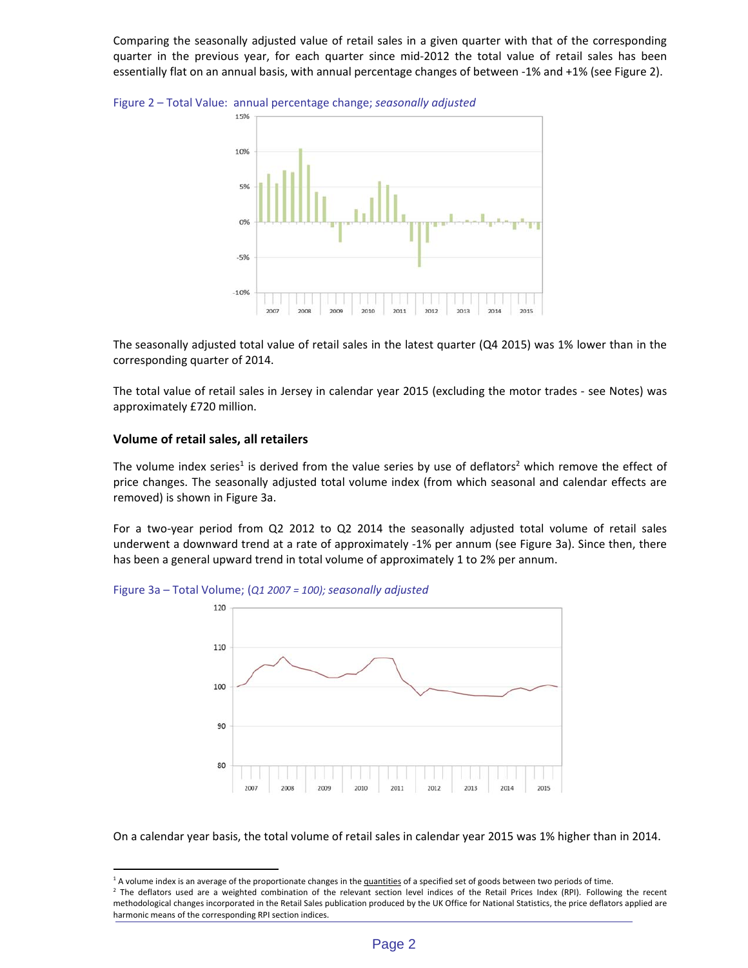Comparing the seasonally adjusted value of retail sales in a given quarter with that of the corresponding quarter in the previous year, for each quarter since mid-2012 the total value of retail sales has been essentially flat on an annual basis, with annual percentage changes of between ‐1% and +1% (see Figure 2).

Figure 2 – Total Value: annual percentage change; *seasonally adjusted*



The seasonally adjusted total value of retail sales in the latest quarter (Q4 2015) was 1% lower than in the corresponding quarter of 2014.

The total value of retail sales in Jersey in calendar year 2015 (excluding the motor trades ‐ see Notes) was approximately £720 million.

## **Volume of retail sales, all retailers**

l

The volume index series<sup>1</sup> is derived from the value series by use of deflators<sup>2</sup> which remove the effect of price changes. The seasonally adjusted total volume index (from which seasonal and calendar effects are removed) is shown in Figure 3a.

For a two-year period from Q2 2012 to Q2 2014 the seasonally adjusted total volume of retail sales underwent a downward trend at a rate of approximately ‐1% per annum (see Figure 3a). Since then, there has been a general upward trend in total volume of approximately 1 to 2% per annum.



Figure 3a – Total Volume; (*Q1 2007 = 100); seasonally adjusted*

On a calendar year basis, the total volume of retail sales in calendar year 2015 was 1% higher than in 2014.

<sup>&</sup>lt;sup>1</sup> A volume index is an average of the proportionate changes in the quantities of a specified set of goods between two periods of time.

<sup>&</sup>lt;sup>2</sup> The deflators used are a weighted combination of the relevant section level indices of the Retail Prices Index (RPI). Following the recent methodological changes incorporated in the Retail Sales publication produced by the UK Office for National Statistics, the price deflators applied are harmonic means of the corresponding RPI section indices.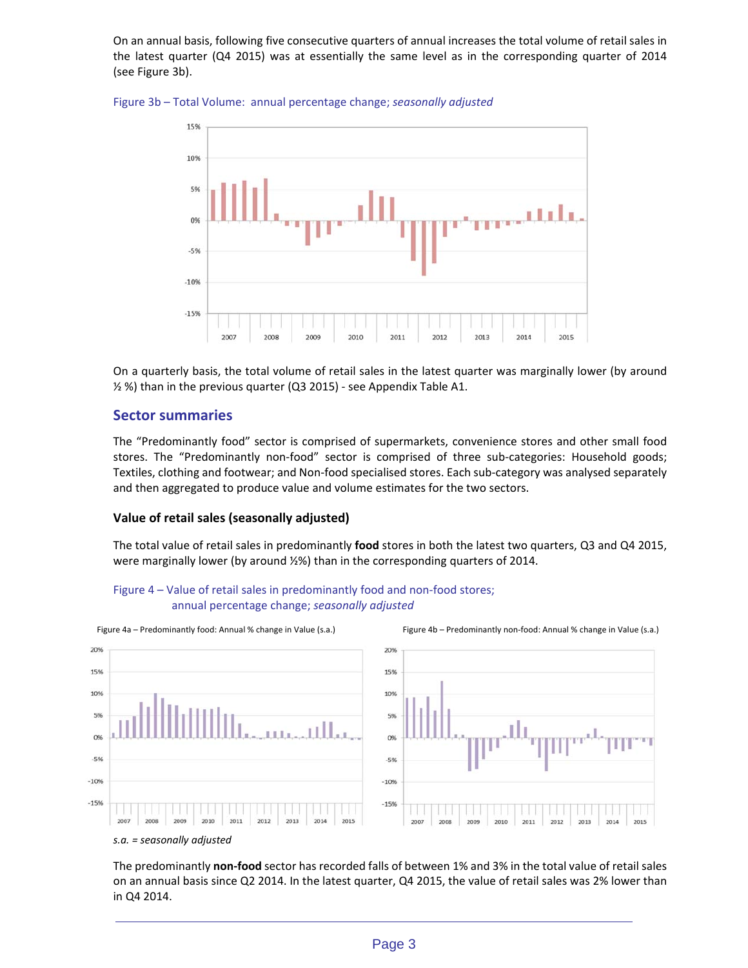On an annual basis, following five consecutive quarters of annual increases the total volume of retail sales in the latest quarter (Q4 2015) was at essentially the same level as in the corresponding quarter of 2014 (see Figure 3b).





On a quarterly basis, the total volume of retail sales in the latest quarter was marginally lower (by around ½ %) than in the previous quarter (Q3 2015) ‐ see Appendix Table A1.

# **Sector summaries**

The "Predominantly food" sector is comprised of supermarkets, convenience stores and other small food stores. The "Predominantly non-food" sector is comprised of three sub-categories: Household goods; Textiles, clothing and footwear; and Non-food specialised stores. Each sub-category was analysed separately and then aggregated to produce value and volume estimates for the two sectors.

# **Value of retail sales (seasonally adjusted)**

The total value of retail sales in predominantly **food** stores in both the latest two quarters, Q3 and Q4 2015, were marginally lower (by around ½%) than in the corresponding quarters of 2014.





#### *s.a. = seasonally adjusted*

The predominantly **non‐food** sector has recorded falls of between 1% and 3% in the total value of retail sales on an annual basis since Q2 2014. In the latest quarter, Q4 2015, the value of retail sales was 2% lower than in Q4 2014.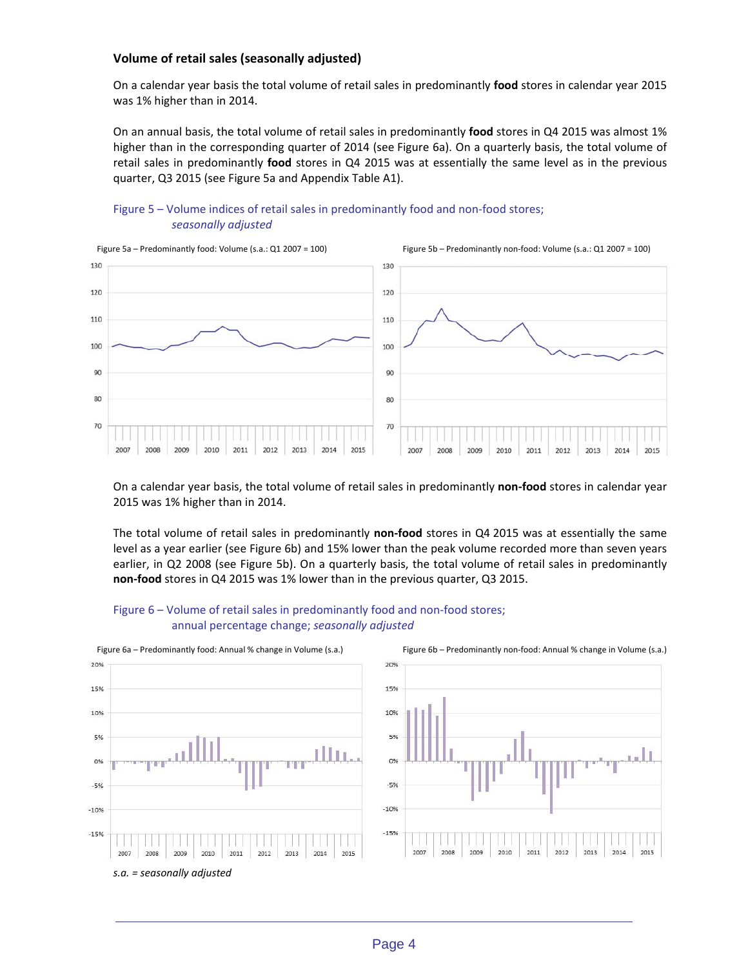## **Volume of retail sales (seasonally adjusted)**

On a calendar year basis the total volume of retail sales in predominantly **food** stores in calendar year 2015 was 1% higher than in 2014.

On an annual basis, the total volume of retail sales in predominantly **food** stores in Q4 2015 was almost 1% higher than in the corresponding quarter of 2014 (see Figure 6a). On a quarterly basis, the total volume of retail sales in predominantly **food** stores in Q4 2015 was at essentially the same level as in the previous quarter, Q3 2015 (see Figure 5a and Appendix Table A1).





On a calendar year basis, the total volume of retail sales in predominantly **non‐food** stores in calendar year 2015 was 1% higher than in 2014.

The total volume of retail sales in predominantly non-food stores in Q4 2015 was at essentially the same level as a year earlier (see Figure 6b) and 15% lower than the peak volume recorded more than seven years earlier, in Q2 2008 (see Figure 5b). On a quarterly basis, the total volume of retail sales in predominantly **non‐food** stores in Q4 2015 was 1% lower than in the previous quarter, Q3 2015.







*s.a. = seasonally adjusted*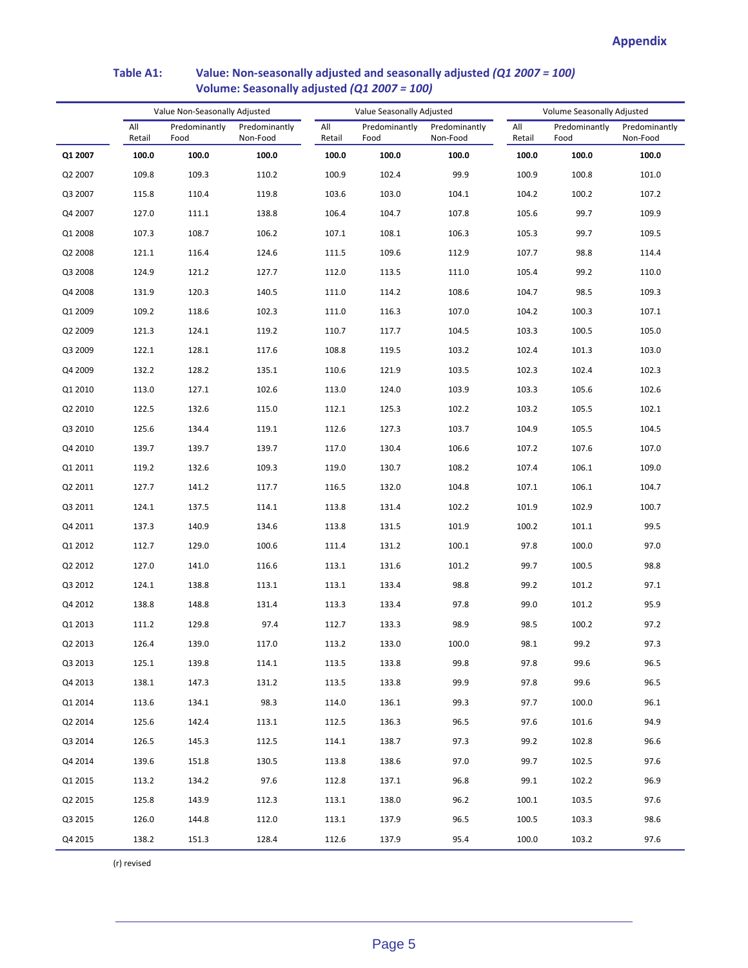# **Table A1: Value: Non‐seasonally adjusted and seasonally adjusted** *(Q1 2007 = 100)*  **Volume: Seasonally adjusted** *(Q1 2007 = 100)*

|         | Value Non-Seasonally Adjusted |                       |                           | Value Seasonally Adjusted |                       |                           | Volume Seasonally Adjusted |                       |                           |
|---------|-------------------------------|-----------------------|---------------------------|---------------------------|-----------------------|---------------------------|----------------------------|-----------------------|---------------------------|
|         | All<br>Retail                 | Predominantly<br>Food | Predominantly<br>Non-Food | All<br>Retail             | Predominantly<br>Food | Predominantly<br>Non-Food | All<br>Retail              | Predominantly<br>Food | Predominantly<br>Non-Food |
| Q1 2007 | 100.0                         | 100.0                 | 100.0                     | 100.0                     | 100.0                 | 100.0                     | 100.0                      | 100.0                 | 100.0                     |
| Q2 2007 | 109.8                         | 109.3                 | 110.2                     | 100.9                     | 102.4                 | 99.9                      | 100.9                      | 100.8                 | 101.0                     |
| Q3 2007 | 115.8                         | 110.4                 | 119.8                     | 103.6                     | 103.0                 | 104.1                     | 104.2                      | 100.2                 | 107.2                     |
| Q4 2007 | 127.0                         | 111.1                 | 138.8                     | 106.4                     | 104.7                 | 107.8                     | 105.6                      | 99.7                  | 109.9                     |
| Q1 2008 | 107.3                         | 108.7                 | 106.2                     | 107.1                     | 108.1                 | 106.3                     | 105.3                      | 99.7                  | 109.5                     |
| Q2 2008 | 121.1                         | 116.4                 | 124.6                     | 111.5                     | 109.6                 | 112.9                     | 107.7                      | 98.8                  | 114.4                     |
| Q3 2008 | 124.9                         | 121.2                 | 127.7                     | 112.0                     | 113.5                 | 111.0                     | 105.4                      | 99.2                  | 110.0                     |
| Q4 2008 | 131.9                         | 120.3                 | 140.5                     | 111.0                     | 114.2                 | 108.6                     | 104.7                      | 98.5                  | 109.3                     |
| Q1 2009 | 109.2                         | 118.6                 | 102.3                     | 111.0                     | 116.3                 | 107.0                     | 104.2                      | 100.3                 | 107.1                     |
| Q2 2009 | 121.3                         | 124.1                 | 119.2                     | 110.7                     | 117.7                 | 104.5                     | 103.3                      | 100.5                 | 105.0                     |
| Q3 2009 | 122.1                         | 128.1                 | 117.6                     | 108.8                     | 119.5                 | 103.2                     | 102.4                      | 101.3                 | 103.0                     |
| Q4 2009 | 132.2                         | 128.2                 | 135.1                     | 110.6                     | 121.9                 | 103.5                     | 102.3                      | 102.4                 | 102.3                     |
| Q1 2010 | 113.0                         | 127.1                 | 102.6                     | 113.0                     | 124.0                 | 103.9                     | 103.3                      | 105.6                 | 102.6                     |
| Q2 2010 | 122.5                         | 132.6                 | 115.0                     | 112.1                     | 125.3                 | 102.2                     | 103.2                      | 105.5                 | 102.1                     |
| Q3 2010 | 125.6                         | 134.4                 | 119.1                     | 112.6                     | 127.3                 | 103.7                     | 104.9                      | 105.5                 | 104.5                     |
| Q4 2010 | 139.7                         | 139.7                 | 139.7                     | 117.0                     | 130.4                 | 106.6                     | 107.2                      | 107.6                 | 107.0                     |
| Q1 2011 | 119.2                         | 132.6                 | 109.3                     | 119.0                     | 130.7                 | 108.2                     | 107.4                      | 106.1                 | 109.0                     |
| Q2 2011 | 127.7                         | 141.2                 | 117.7                     | 116.5                     | 132.0                 | 104.8                     | 107.1                      | 106.1                 | 104.7                     |
| Q3 2011 | 124.1                         | 137.5                 | 114.1                     | 113.8                     | 131.4                 | 102.2                     | 101.9                      | 102.9                 | 100.7                     |
| Q4 2011 | 137.3                         | 140.9                 | 134.6                     | 113.8                     | 131.5                 | 101.9                     | 100.2                      | 101.1                 | 99.5                      |
| Q1 2012 | 112.7                         | 129.0                 | 100.6                     | 111.4                     | 131.2                 | 100.1                     | 97.8                       | 100.0                 | 97.0                      |
| Q2 2012 | 127.0                         | 141.0                 | 116.6                     | 113.1                     | 131.6                 | 101.2                     | 99.7                       | 100.5                 | 98.8                      |
| Q3 2012 | 124.1                         | 138.8                 | 113.1                     | 113.1                     | 133.4                 | 98.8                      | 99.2                       | 101.2                 | 97.1                      |
| Q4 2012 | 138.8                         | 148.8                 | 131.4                     | 113.3                     | 133.4                 | 97.8                      | 99.0                       | 101.2                 | 95.9                      |
| Q1 2013 | 111.2                         | 129.8                 | 97.4                      | 112.7                     | 133.3                 | 98.9                      | 98.5                       | 100.2                 | 97.2                      |
| Q2 2013 | 126.4                         | 139.0                 | 117.0                     | 113.2                     | 133.0                 | 100.0                     | 98.1                       | 99.2                  | 97.3                      |
| Q3 2013 | 125.1                         | 139.8                 | 114.1                     | 113.5                     | 133.8                 | 99.8                      | 97.8                       | 99.6                  | 96.5                      |
| Q4 2013 | 138.1                         | 147.3                 | 131.2                     | 113.5                     | 133.8                 | 99.9                      | 97.8                       | 99.6                  | 96.5                      |
| Q1 2014 | 113.6                         | 134.1                 | 98.3                      | 114.0                     | 136.1                 | 99.3                      | 97.7                       | 100.0                 | 96.1                      |
| Q2 2014 | 125.6                         | 142.4                 | 113.1                     | 112.5                     | 136.3                 | 96.5                      | 97.6                       | 101.6                 | 94.9                      |
| Q3 2014 | 126.5                         | 145.3                 | 112.5                     | 114.1                     | 138.7                 | 97.3                      | 99.2                       | 102.8                 | 96.6                      |
| Q4 2014 | 139.6                         | 151.8                 | 130.5                     | 113.8                     | 138.6                 | 97.0                      | 99.7                       | 102.5                 | 97.6                      |
| Q1 2015 | 113.2                         | 134.2                 | 97.6                      | 112.8                     | 137.1                 | 96.8                      | 99.1                       | 102.2                 | 96.9                      |
| Q2 2015 | 125.8                         | 143.9                 | 112.3                     | 113.1                     | 138.0                 | 96.2                      | 100.1                      | 103.5                 | 97.6                      |
| Q3 2015 | 126.0                         | 144.8                 | 112.0                     | 113.1                     | 137.9                 | 96.5                      | 100.5                      | 103.3                 | 98.6                      |
| Q4 2015 | 138.2                         | 151.3                 | 128.4                     | 112.6                     | 137.9                 | 95.4                      | 100.0                      | 103.2                 | 97.6                      |

(r) revised